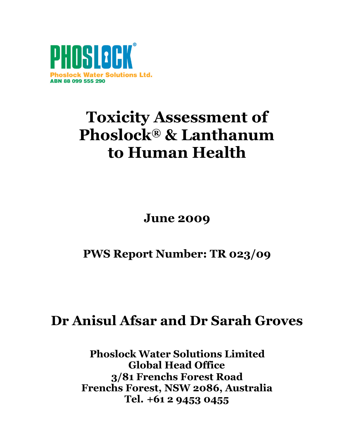

# **Toxicity Assessment of Phoslock® & Lanthanum to Human Health**

**June 2009**

**PWS Report Number: TR 023/09**

## **Dr Anisul Afsar and Dr Sarah Groves**

**Phoslock Water Solutions Limited Global Head Office 3/81 Frenchs Forest Road Frenchs Forest, NSW 2086, Australia Tel. +61 2 9453 0455**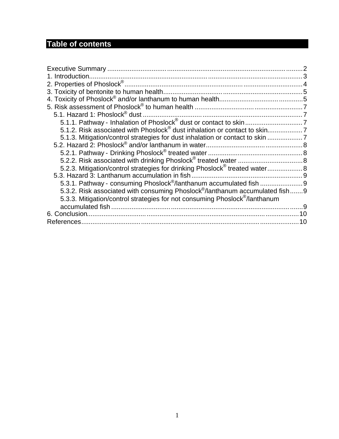## **Table of contents**

| 1. Introduction.                                                                         |    |
|------------------------------------------------------------------------------------------|----|
|                                                                                          |    |
|                                                                                          |    |
|                                                                                          |    |
|                                                                                          |    |
| 5.1. Hazard 1: Phoslock® dust.                                                           |    |
|                                                                                          |    |
|                                                                                          |    |
| 5.1.3. Mitigation/control strategies for dust inhalation or contact to skin              |    |
|                                                                                          |    |
|                                                                                          |    |
|                                                                                          |    |
| 5.2.3. Mitigation/control strategies for drinking Phoslock <sup>®</sup> treated water 8  |    |
|                                                                                          |    |
|                                                                                          |    |
| 5.3.2. Risk associated with consuming Phoslock <sup>®</sup> /lanthanum accumulated fish9 |    |
| 5.3.3. Mitigation/control strategies for not consuming Phoslock <sup>®</sup> /lanthanum  |    |
|                                                                                          |    |
| 6. Conclusion.                                                                           |    |
| References.                                                                              | 10 |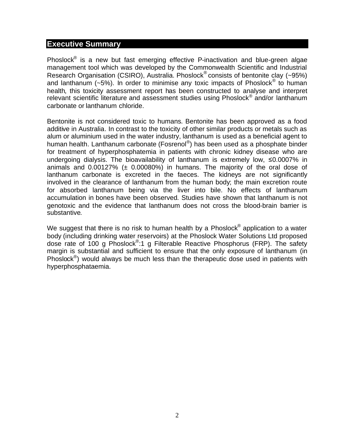#### <span id="page-2-0"></span>**Executive Summary**

Phoslock<sup>®</sup> is a new but fast emerging effective P-inactivation and blue-green algae management tool which was developed by the Commonwealth Scientific and Industrial Research Organisation (CSIRO), Australia. Phoslock® consists of bentonite clay (~95%) and lanthanum (~5%). In order to minimise any toxic impacts of Phoslock<sup>®</sup> to human health, this toxicity assessment report has been constructed to analyse and interpret relevant scientific literature and assessment studies using Phoslock<sup>®</sup> and/or lanthanum carbonate or lanthanum chloride.

Bentonite is not considered toxic to humans. Bentonite has been approved as a food additive in Australia. In contrast to the toxicity of other similar products or metals such as alum or aluminium used in the water industry, lanthanum is used as a beneficial agent to human health. Lanthanum carbonate (Fosrenol®) has been used as a phosphate binder for treatment of hyperphosphatemia in patients with chronic kidney disease who are undergoing dialysis. The bioavailability of lanthanum is extremely low, ≤0.0007% in animals and  $0.00127\%$  ( $\pm$  0.00080%) in humans. The majority of the oral dose of lanthanum carbonate is excreted in the faeces. The kidneys are not significantly involved in the clearance of lanthanum from the human body; the main excretion route for absorbed lanthanum being via the liver into bile. No effects of lanthanum accumulation in bones have been observed. Studies have shown that lanthanum is not genotoxic and the evidence that lanthanum does not cross the blood-brain barrier is substantive.

We suggest that there is no risk to human health by a Phoslock $^{\circledR}$  application to a water body (including drinking water reservoirs) at the Phoslock Water Solutions Ltd proposed dose rate of 100 g Phoslock<sup>®</sup>:1 g Filterable Reactive Phosphorus (FRP). The safety margin is substantial and sufficient to ensure that the only exposure of lanthanum (in Phoslock<sup>®</sup>) would always be much less than the therapeutic dose used in patients with hyperphosphataemia.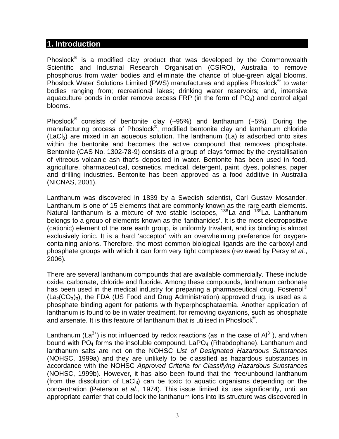#### <span id="page-3-0"></span>**1. Introduction**

Phoslock<sup>®</sup> is a modified clay product that was developed by the Commonwealth Scientific and Industrial Research Organisation (CSIRO), Australia to remove phosphorus from water bodies and eliminate the chance of blue-green algal blooms. .<br>Phoslock Water Solutions Limited (PWS) manufactures and applies Phoslock<sup>®</sup> to water bodies ranging from; recreational lakes; drinking water reservoirs; and, intensive aquaculture ponds in order remove excess  $FRP$  (in the form of  $PO<sub>4</sub>$ ) and control algal blooms.

Phoslock<sup>®</sup> consists of bentonite clay (~95%) and lanthanum (~5%). During the manufacturing process of Phoslock®, modified bentonite clay and lanthanum chloride  $(LaCl<sub>3</sub>)$  are mixed in an aqueous solution. The lanthanum  $(La)$  is adsorbed onto sites within the bentonite and becomes the active compound that removes phosphate. Bentonite (CAS No. 1302-78-9) consists of a group of clays formed by the crystallisation of vitreous volcanic ash that's deposited in water. Bentonite has been used in food, agriculture, pharmaceutical, cosmetics, medical, detergent, paint, dyes, polishes, paper and drilling industries. Bentonite has been approved as a food additive in Australia (NICNAS, 2001).

Lanthanum was discovered in 1839 by a Swedish scientist, Carl Gustav Mosander. Lanthanum is one of 15 elements that are commonly known as the rare earth elements. Natural lanthanum is a mixture of two stable isotopes, <sup>138</sup>La and <sup>139</sup>La. Lanthanum belongs to a group of elements known as the 'lanthanides'. It is the most electropositive (cationic) element of the rare earth group, is uniformly trivalent, and its binding is almost exclusively ionic. It is a hard 'acceptor' with an overwhelming preference for oxygencontaining anions. Therefore, the most common biological ligands are the carboxyl and phosphate groups with which it can form very tight complexes (reviewed by Persy *et al.*, 2006).

There are several lanthanum compounds that are available commercially. These include oxide, carbonate, chloride and fluoride. Among these compounds, lanthanum carbonate has been used in the medical industry for preparing a pharmaceutical drug. Fosrenol<sup>®</sup>  $(La<sub>2</sub>(CO<sub>3</sub>)<sub>3</sub>)$ , the FDA (US Food and Drug Administration) approved drug, is used as a phosphate binding agent for patients with hyperphosphataemia. Another application of lanthanum is found to be in water treatment, for removing oxyanions, such as phosphate and arsenate. It is this feature of lanthanum that is utilised in Phoslock® .

Lanthanum (La<sup>3+</sup>) is not influenced by redox reactions (as in the case of  $Al^{3+}$ ), and when bound with  $PO_4$  forms the insoluble compound,  $LaPO_4$  (Rhabdophane). Lanthanum and lanthanum salts are not on the NOHSC *List of Designated Hazardous Substances* (NOHSC, 1999a) and they are unlikely to be classified as hazardous substances in accordance with the NOHSC *Approved Criteria for Classifying Hazardous Substances* (NOHSC, 1999b). However, it has also been found that the free/unbound lanthanum (from the dissolution of  $LaCl<sub>3</sub>$ ) can be toxic to aquatic organisms depending on the concentration (Peterson *et al.*, 1974). This issue limited its use significantly, until an appropriate carrier that could lock the lanthanum ions into its structure was discovered in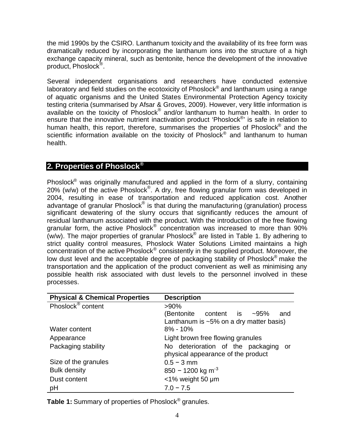the mid 1990s by the CSIRO. Lanthanum toxicity and the availability of its free form was dramatically reduced by incorporating the lanthanum ions into the structure of a high exchange capacity mineral, such as bentonite, hence the development of the innovative product, Phoslock® .

Several independent organisations and researchers have conducted extensive laboratory and field studies on the ecotoxicity of Phoslock® and lanthanum using a range of aquatic organisms and the United States Environmental Protection Agency toxicity testing criteria (summarised by Afsar & Groves, 2009). However, very little information is available on the toxicity of Phoslock® and/or lanthanum to human health. In order to ensure that the innovative nutrient inactivation product 'Phoslock®' is safe in relation to human health, this report, therefore, summarises the properties of Phoslock<sup>®</sup> and the scientific information available on the toxicity of Phoslock<sup>®</sup> and lanthanum to human health.

#### <span id="page-4-0"></span>**2. Properties of Phoslock®**

Phoslock<sup>®</sup> was originally manufactured and applied in the form of a slurry, containing 20% (w/w) of the active Phoslock® . A dry, free flowing granular form was developed in 2004, resulting in ease of transportation and reduced application cost. Another advantage of granular Phoslock® is that during the manufacturing (granulation) process significant dewatering of the slurry occurs that significantly reduces the amount of residual lanthanum associated with the product. With the introduction of the free flowing granular form, the active Phoslock® concentration was increased to more than 90%  $\mathsf{w}/\mathsf{w}$ ). The major properties of granular Phoslock $^\circ$  are listed in Table 1. By adhering to strict quality control measures, Phoslock Water Solutions Limited maintains a high concentration of the active Phoslock® consistently in the supplied product. Moreover, the low dust level and the acceptable degree of packaging stability of Phoslock<sup>®</sup> make the transportation and the application of the product convenient as well as minimising any possible health risk associated with dust levels to the personnel involved in these processes.

| <b>Physical &amp; Chemical Properties</b> | <b>Description</b>                         |
|-------------------------------------------|--------------------------------------------|
| Phoslock <sup>®</sup> content             | $>90\%$                                    |
|                                           | content is $\sim$ 95%<br>(Bentonite<br>and |
|                                           | Lanthanum is $~5\%$ on a dry matter basis) |
| Water content                             | $8\% - 10\%$                               |
| Appearance                                | Light brown free flowing granules          |
| Packaging stability                       | No deterioration of the packaging or       |
|                                           | physical appearance of the product         |
| Size of the granules                      | $0.5 - 3$ mm                               |
| <b>Bulk density</b>                       | 850 - 1200 kg m <sup>-3</sup>              |
| Dust content                              | $<$ 1% weight 50 µm                        |
| рH                                        | $7.0 - 7.5$                                |

Table 1: Summary of properties of Phoslock<sup>®</sup> granules.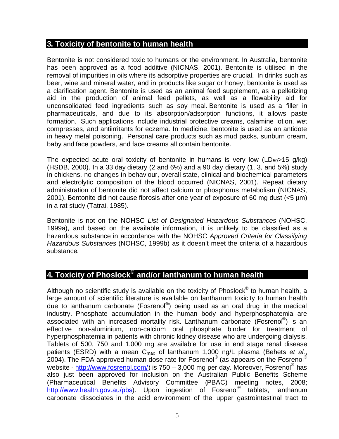#### <span id="page-5-0"></span>**3. Toxicity of bentonite to human health**

Bentonite is not considered toxic to humans or the environment. In Australia, bentonite has been approved as a food additive (NICNAS, 2001). Bentonite is utilised in the removal of impurities in oils where its adsorptive properties are crucial. In drinks such as beer, wine and mineral water, and in products like sugar or honey, bentonite is used as a clarification agent. Bentonite is used as an animal feed supplement, as a pelletizing aid in the production of animal feed pellets, as well as a flowability aid for unconsolidated feed ingredients such as soy meal. Bentonite is used as a filler in pharmaceuticals, and due to its absorption/adsorption functions, it allows paste formation. Such applications include industrial protective creams, calamine lotion, wet compresses, and antiirritants for eczema. In medicine, bentonite is used as an antidote in heavy metal poisoning. Personal care products such as mud packs, sunburn cream, baby and face powders, and face creams all contain bentonite.

The expected acute oral toxicity of bentonite in humans is very low  $(LD_{50}>15 \text{ q/kg})$ (HSDB, 2000). In a 33 day dietary (2 and 6%) and a 90 day dietary (1, 3, and 5%) study in chickens, no changes in behaviour, overall state, clinical and biochemical parameters and electrolytic composition of the blood occurred (NICNAS, 2001). Repeat dietary administration of bentonite did not affect calcium or phosphorus metabolism (NICNAS, 2001). Bentonite did not cause fibrosis after one year of exposure of 60 mg dust (<5 µm) in a rat study (Tatrai, 1985).

Bentonite is not on the NOHSC *List of Designated Hazardous Substances* (NOHSC, 1999a), and based on the available information, it is unlikely to be classified as a hazardous substance in accordance with the NOHSC *Approved Criteria for Classifying Hazardous Substances* (NOHSC, 1999b) as it doesn't meet the criteria of a hazardous substance.

### <span id="page-5-1"></span>**4. Toxicity of Phoslock® and/or lanthanum to human health**

Although no scientific study is available on the toxicity of Phoslock $^{\circledR}$  to human health, a large amount of scientific literature is available on lanthanum toxicity to human health due to lanthanum carbonate (Fosrenol®) being used as an oral drug in the medical industry. Phosphate accumulation in the human body and hyperphosphatemia are associated with an increased mortality risk. Lanthanum carbonate (Fosrenol<sup>®</sup>) is an effective non-aluminium, non-calcium oral phosphate binder for treatment of hyperphosphatemia in patients with chronic kidney disease who are undergoing dialysis. Tablets of 500, 750 and 1,000 mg are available for use in end stage renal disease patients (ESRD) with a mean C<sub>max</sub> of lanthanum 1,000 ng/L plasma (Behets *et al.*, .<br>2004). The FDA approved human dose rate for Fosrenol® (as appears on the Fosrenol® website - [http://www.fosrenol.com/\)](http://www.fosrenol.com/) is 750 – 3,000 mg per day. Moreover, Fosrenol<sup>®</sup> has also just been approved for inclusion on the Australian Public Benefits Scheme (Pharmaceutical Benefits Advisory Committee (PBAC) meeting notes, 2008; [http://www.health.gov.au/pbs\)](http://www.health.gov.au/pbs). Upon ingestion of Fosrenol<sup>®</sup> tablets, lanthanum carbonate dissociates in the acid environment of the upper gastrointestinal tract to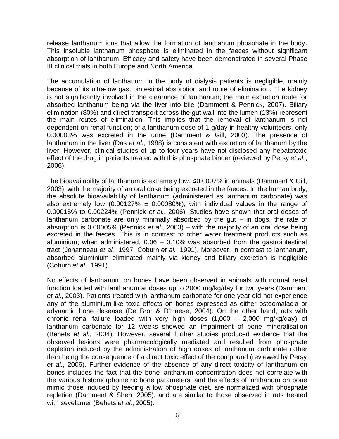release lanthanum ions that allow the formation of lanthanum phosphate in the body. This insoluble lanthanum phosphate is eliminated in the faeces without significant absorption of lanthanum. Efficacy and safety have been demonstrated in several Phase III clinical trials in both Europe and North America.

The accumulation of lanthanum in the body of dialysis patients is negligible, mainly because of its ultra-low gastrointestinal absorption and route of elimination. The kidney is not significantly involved in the clearance of lanthanum; the main excretion route for absorbed lanthanum being via the liver into bile (Damment & Pennick, 2007). Biliary elimination (80%) and direct transport across the gut wall into the lumen (13%) represent the main routes of elimination. This implies that the removal of lanthanum is not dependent on renal function; of a lanthanum dose of 1 g/day in healthy volunteers, only 0.00003% was excreted in the urine (Damment & Gill, 2003). The presence of lanthanum in the liver (Das *et al.*, 1988) is consistent with excretion of lanthanum by the liver. However, clinical studies of up to four years have not disclosed any hepatotoxic effect of the drug in patients treated with this phosphate binder (reviewed by Persy *et al.*, 2006).

The bioavailability of lanthanum is extremely low, ≤0.0007% in animals (Damment & Gill, 2003), with the majority of an oral dose being excreted in the faeces. In the human body, the absolute bioavailability of lanthanum (administered as lanthanum carbonate) was also extremely low (0.00127%  $\pm$  0.00080%), with individual values in the range of 0.00015% to 0.00224% (Pennick *et al.*, 2006). Studies have shown that oral doses of lanthanum carbonate are only minimally absorbed by the gut  $-$  in dogs, the rate of absorption is 0.00005% (Pennick *et al.*, 2003) – with the majority of an oral dose being excreted in the faeces. This is in contrast to other water treatment products such as aluminium; when administered, 0.06 – 0.10% was absorbed from the gastrointestinal tract (Johanneau *et al.*, 1997; Coburn *et al.*, 1991). Moreover, in contrast to lanthanum, absorbed aluminium eliminated mainly via kidney and biliary excretion is negligible (Coburn *et al.*, 1991).

No effects of lanthanum on bones have been observed in animals with normal renal function loaded with lanthanum at doses up to 2000 mg/kg/day for two years (Damment *et al.*, 2003). Patients treated with lanthanum carbonate for one year did not experience any of the aluminium-like toxic effects on bones expressed as either osteomalacia or adynamic bone desease (De Bror & D'Haese, 2004). On the other hand, rats with chronic renal failure loaded with very high doses (1,000 – 2,000 mg/kg/day) of lanthanum carbonate for 12 weeks showed an impairment of bone mineralisation (Behets *et al.*, 2004). However, several further studies produced evidence that the observed lesions were pharmacologically mediated and resulted from phosphate depletion induced by the administration of high doses of lanthanum carbonate rather than being the consequence of a direct toxic effect of the compound (reviewed by Persy *et al.*, 2006). Further evidence of the absence of any direct toxicity of lanthanum on bones includes the fact that the bone lanthanum concentration does not correlate with the various histomorphometric bone parameters, and the effects of lanthanum on bone mimic those induced by feeding a low phosphate diet, are normalized with phosphate repletion (Damment & Shen, 2005), and are similar to those observed in rats treated with sevelamer (Behets *et al.*, 2005).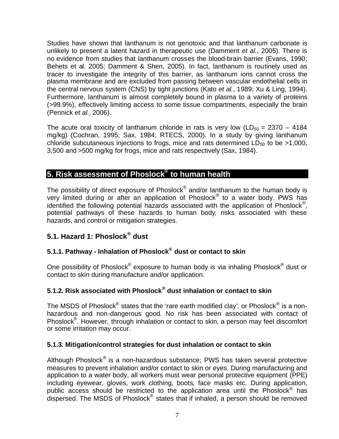Studies have shown that lanthanum is not genotoxic and that lanthanum carbonate is unlikely to present a latent hazard in therapeutic use (Damment *et al.*, 2005). There is no evidence from studies that lanthanum crosses the blood-brain barrier (Evans, 1990; Behets et al. 2005; Damment & Shen, 2005). In fact, lanthanum is routinely used as tracer to investigate the integrity of this barrier, as lanthanum ions cannot cross the plasma membrane and are excluded from passing between vascular endothelial cells in the central nervous system (CNS) by tight junctions (Kato *et al.*, 1989; Xu & Ling, 1994). Furthermore, lanthanum is almost completely bound in plasma to a variety of proteins (>99.9%), effectively limiting access to some tissue compartments, especially the brain (Pennick *et al.*, 2006).

The acute oral toxicity of lanthanum chloride in rats is very low ( $LD_{50} = 2370 - 4184$ mg/kg) (Cochran, 1995; Sax, 1984; RTECS, 2000). In a study by giving lanthanum chloride subcutaneous injections to frogs, mice and rats determined  $LD_{50}$  to be >1,000, 3,500 and >500 mg/kg for frogs, mice and rats respectively (Sax, 1984).

#### <span id="page-7-0"></span>**5. Risk assessment of Phoslock® to human health**

The possibility of direct exposure of Phoslock $^\circ$  and/or lanthanum to the human body is very limited during or after an application of Phoslock<sup>®</sup> to a water body. PWS has identified the following potential hazards associated with the application of Phoslock<sup>®</sup>, potential pathways of these hazards to human body, risks associated with these hazards, and control or mitigation strategies.

#### <span id="page-7-1"></span>**5.1. Hazard 1: Phoslock® dust**

#### <span id="page-7-2"></span>**5.1.1. Pathway - Inhalation of Phoslock® dust or contact to skin**

One possibility of Phoslock® exposure to human body is via inhaling Phoslock® dust or contact to skin during manufacture and/or application.

#### <span id="page-7-3"></span>**5.1.2. Risk associated with Phoslock® dust inhalation or contact to skin**

The MSDS of Phoslock® states that the 'rare earth modified clay', or Phoslock® is a nonhazardous and non-dangerous good. No risk has been associated with contact of Phoslock<sup>®</sup>. However, through inhalation or contact to skin, a person may feel discomfort or some irritation may occur.

#### <span id="page-7-4"></span>**5.1.3. Mitigation/control strategies for dust inhalation or contact to skin**

Although Phoslock® is a non-hazardous substance; PWS has taken several protective measures to prevent inhalation and/or contact to skin or eyes. During manufacturing and application to a water body, all workers must wear personal protective equipment (PPE) including eyewear, gloves, work clothing, boots, face masks etc. During application, public access should be restricted to the application area until the Phoslock<sup>®</sup> has .<br>dispersed. The MSDS of Phoslock® states that if inhaled, a person should be removed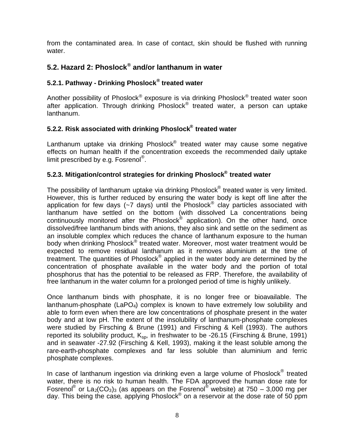from the contaminated area. In case of contact, skin should be flushed with running water.

#### <span id="page-8-0"></span>**5.2. Hazard 2: Phoslock® and/or lanthanum in water**

#### <span id="page-8-1"></span>**5.2.1. Pathway - Drinking Phoslock® treated water**

Another possibility of Phoslock® exposure is via drinking Phoslock<sup>®</sup> treated water soon after application. Through drinking Phoslock® treated water, a person can uptake lanthanum.

#### <span id="page-8-2"></span>**5.2.2. Risk associated with drinking Phoslock® treated water**

Lanthanum uptake via drinking Phoslock® treated water may cause some negative effects on human health if the concentration exceeds the recommended daily uptake limit prescribed by e.g. Fosrenol®.

#### <span id="page-8-3"></span>**5.2.3. Mitigation/control strategies for drinking Phoslock® treated water**

The possibility of lanthanum uptake via drinking Phoslock $^{\circledast}$  treated water is very limited. However, this is further reduced by ensuring the water body is kept off line after the application for few days (~7 days) until the Phoslock® clay particles associated with lanthanum have settled on the bottom (with dissolved La concentrations being continuously monitored after the Phoslock® application). On the other hand, once dissolved/free lanthanum binds with anions, they also sink and settle on the sediment as an insoluble complex which reduces the chance of lanthanum exposure to the human body when drinking Phoslock® treated water. Moreover, most water treatment would be expected to remove residual lanthanum as it removes aluminium at the time of treatment. The quantities of Phoslock<sup>®</sup> applied in the water body are determined by the concentration of phosphate available in the water body and the portion of total phosphorus that has the potential to be released as FRP. Therefore, the availability of free lanthanum in the water column for a prolonged period of time is highly unlikely.

Once lanthanum binds with phosphate, it is no longer free or bioavailable. The lanthanum-phosphate (LaPO<sub>4</sub>) complex is known to have extremely low solubility and able to form even when there are low concentrations of phosphate present in the water body and at low pH. The extent of the insolubility of lanthanum-phosphate complexes were studied by Firsching & Brune (1991) and Firsching & Kell (1993). The authors reported its solubility product,  $K_{\text{so}}$ , in freshwater to be -26.15 (Firsching & Brune, 1991) and in seawater -27.92 (Firsching & Kell, 1993), making it the least soluble among the rare-earth-phosphate complexes and far less soluble than aluminium and ferric phosphate complexes.

In case of lanthanum ingestion via drinking even a large volume of Phoslock® treated water, there is no risk to human health. The FDA approved the human dose rate for Fosrenol<sup>®</sup> or La<sub>2</sub>(CO<sub>3</sub>)<sub>3</sub> (as appears on the Fosrenol<sup>®</sup> website) at 750 – 3,000 mg per day. This being the case, applying Phoslock<sup>®</sup> on a reservoir at the dose rate of 50 ppm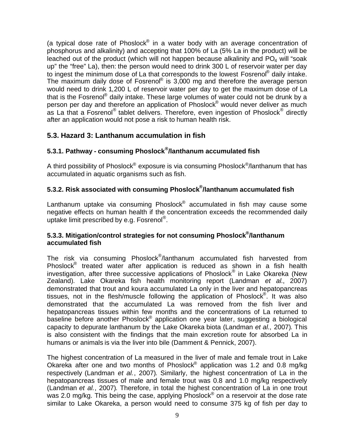(a typical dose rate of Phoslock® in a water body with an average concentration of phosphorus and alkalinity) and accepting that 100% of La (5% La in the product) will be leached out of the product (which will not happen because alkalinity and  $PO<sub>4</sub>$  will "soak up" the "free" La), then: the person would need to drink 300 L of reservoir water per day to ingest the minimum dose of La that corresponds to the lowest Fosrenol® daily intake. The maximum daily dose of Fosreno $\mathbb{P}$  is 3,000 mg and therefore the average person would need to drink 1,200 L of reservoir water per day to get the maximum dose of La that is the Fosrenol® daily intake. These large volumes of water could not be drunk by a person per day and therefore an application of Phoslock<sup>®</sup> would never deliver as much as La that a Fosrenol® tablet delivers. Therefore, even ingestion of Phoslock<sup>®</sup> directly after an application would not pose a risk to human health risk.

#### <span id="page-9-0"></span>**5.3. Hazard 3: Lanthanum accumulation in fish**

#### <span id="page-9-1"></span>**5.3.1. Pathway - consuming Phoslock® /lanthanum accumulated fish**

A third possibility of Phoslock® exposure is via consuming Phoslock<sup>®</sup>/lanthanum that has accumulated in aquatic organisms such as fish.

#### <span id="page-9-2"></span>**5.3.2. Risk associated with consuming Phoslock® /lanthanum accumulated fish**

Lanthanum uptake via consuming Phoslock<sup>®</sup> accumulated in fish may cause some negative effects on human health if the concentration exceeds the recommended daily uptake limit prescribed by e.g. Fosrenol® .

#### <span id="page-9-3"></span>**5.3.3. Mitigation/control strategies for not consuming Phoslock® /lanthanum accumulated fish**

The risk via consuming Phoslock<sup>®</sup>/lanthanum accumulated fish harvested from Phoslock<sup>®</sup> treated water after application is reduced as shown in a fish health investigation, after three successive applications of Phoslock® in Lake Okareka (New Zealand). Lake Okareka fish health monitoring report (Landman *et al.*, 2007) demonstrated that trout and koura accumulated La only in the liver and hepatopancreas tissues, not in the flesh/muscle following the application of Phoslock<sup>®</sup>. It was also demonstrated that the accumulated La was removed from the fish liver and hepatopancreas tissues within few months and the concentrations of La returned to baseline before another Phoslock<sup>®</sup> application one year later, suggesting a biological capacity to depurate lanthanum by the Lake Okareka biota (Landman *et al.*, 2007). This is also consistent with the findings that the main excretion route for absorbed La in humans or animals is via the liver into bile (Damment & Pennick, 2007).

The highest concentration of La measured in the liver of male and female trout in Lake Okareka after one and two months of Phoslock<sup>®</sup> application was 1.2 and 0.8 mg/kg respectively (Landman *et al.*, 2007). Similarly, the highest concentration of La in the hepatopancreas tissues of male and female trout was 0.8 and 1.0 mg/kg respectively (Landman *et al.*, 2007). Therefore, in total the highest concentration of La in one trout was 2.0 mg/kg. This being the case, applying Phoslock<sup>®</sup> on a reservoir at the dose rate similar to Lake Okareka, a person would need to consume 375 kg of fish per day to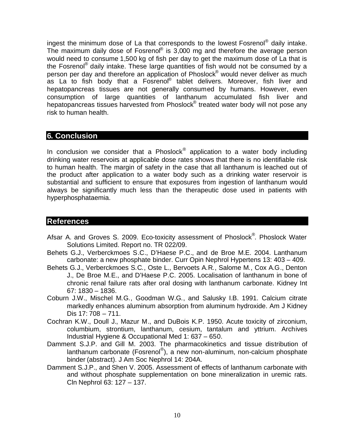ingest the minimum dose of La that corresponds to the lowest Fosrenol® daily intake. The maximum daily dose of Fosreno $<sup>®</sup>$  is 3,000 mg and therefore the average person</sup> would need to consume 1,500 kg of fish per day to get the maximum dose of La that is the Fosrenol<sup>®</sup> daily intake. These large quantities of fish would not be consumed by a person per day and therefore an application of Phoslock® would never deliver as much as La to fish body that a Fosrenol® tablet delivers. Moreover, fish liver and hepatopancreas tissues are not generally consumed by humans. However, even consumption of large quantities of lanthanum accumulated fish liver and hepatopancreas tissues harvested from Phoslock<sup>®</sup> treated water body will not pose any risk to human health.

#### <span id="page-10-0"></span>**6. Conclusion**

In conclusion we consider that a Phoslock $^{\circledast}$  application to a water body including drinking water reservoirs at applicable dose rates shows that there is no identifiable risk to human health. The margin of safety in the case that all lanthanum is leached out of the product after application to a water body such as a drinking water reservoir is substantial and sufficient to ensure that exposures from ingestion of lanthanum would always be significantly much less than the therapeutic dose used in patients with hyperphosphataemia.

#### <span id="page-10-1"></span>**References**

- Afsar A. and Groves S. 2009. Eco-toxicity assessment of Phoslock®. Phoslock Water Solutions Limited. Report no. TR 022/09.
- Behets G.J., Verberckmoes S.C., D'Haese P.C., and de Broe M.E. 2004. Lanthanum carbonate: a new phosphate binder. Curr Opin Nephrol Hypertens 13: 403 – 409.
- Behets G.J., Verberckmoes S.C., Oste L., Bervoets A.R., Salome M., Cox A.G., Denton J., De Broe M.E., and D'Haese P.C. 2005. Localisation of lanthanum in bone of chronic renal failure rats after oral dosing with lanthanum carbonate. Kidney Int 67: 1830 – 1836.
- Coburn J.W., Mischel M.G., Goodman W.G., and Salusky I.B. 1991. Calcium citrate markedly enhances aluminum absorption from aluminum hydroxide. Am J Kidney Dis 17: 708 – 711.
- Cochran K.W., Doull J., Mazur M., and DuBois K.P. 1950. Acute toxicity of zirconium, columbium, strontium, lanthanum, cesium, tantalum and yttrium. Archives Industrial Hygiene & Occupational Med 1: 637 – 650.
- Damment S.J.P. and Gill M. 2003. The pharmacokinetics and tissue distribution of lanthanum carbonate (Fosrenol®), a new non-aluminum, non-calcium phosphate binder (abstract). J Am Soc Nephrol 14: 204A.
- Damment S.J.P., and Shen V. 2005. Assessment of effects of lanthanum carbonate with and without phosphate supplementation on bone mineralization in uremic rats. Cln Nephrol 63: 127 – 137.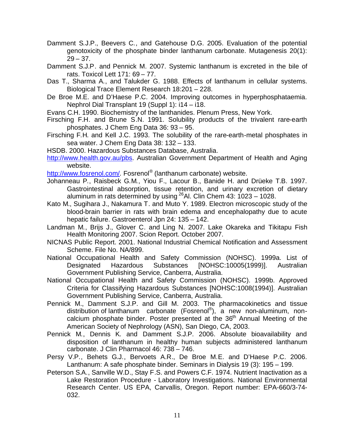- Damment S.J.P., Beevers C., and Gatehouse D.G. 2005. Evaluation of the potential genotoxicity of the phosphate binder lanthanum carbonate. Mutagenesis 20(1):  $29 - 37$ .
- Damment S.J.P. and Pennick M. 2007. Systemic lanthanum is excreted in the bile of rats. Toxicol Lett 171: 69 – 77.
- Das T., Sharma A., and Talukder G. 1988. Effects of lanthanum in cellular systems. Biological Trace Element Research 18:201 – 228.
- De Broe M.E. and D'Haese P.C. 2004. Improving outcomes in hyperphosphataemia. Nephrol Dial Transplant 19 (Suppl 1): i14 – i18.

Evans C.H. 1990. Biochemistry of the lanthanides. Plenum Press, New York.

- Firsching F.H. and Brune S.N. 1991. Solubility products of the trivalent rare-earth phosphates. J Chem Eng Data 36: 93 – 95.
- Firsching F.H. and Kell J.C. 1993. The solubility of the rare-earth-metal phosphates in sea water. J Chem Eng Data 38: 132 – 133.
- HSDB. 2000. Hazardous Substances Database, Australia.
- [http://www.health.gov.au/pbs.](http://www.health.gov.au/pbs) Australian Government Department of Health and Aging website.

[http://www.fosrenol.com/.](http://www.fosrenol.com/) Fosrenol® (lanthanum carbonate) website.

- Johanneau P., Raisbeck G.M., Yiou F., Lacour B., Banide H. and Drüeke T.B. 1997. Gastrointestinal absorption, tissue retention, and urinary excretion of dietary aluminum in rats determined by using  $^{26}$ Al. Clin Chem 43: 1023 – 1028.
- Kato M., Sugihara J., Nakamura T. and Muto Y. 1989. Electron microscopic study of the blood-brain barrier in rats with brain edema and encephalopathy due to acute hepatic failure. Gastroenterol Jpn 24: 135 – 142.
- Landman M., Brijs J., Glover C. and Ling N. 2007. Lake Okareka and Tikitapu Fish Health Monitoring 2007. Scion Report. October 2007.
- NICNAS Public Report. 2001. National Industrial Chemical Notification and Assessment Scheme. File No. NA/899.
- National Occupational Health and Safety Commission (NOHSC). 1999a. List of Designated Hazardous Substances [NOHSC:10005(1999)]. Australian Government Publishing Service, Canberra, Australia.
- National Occupational Health and Safety Commission (NOHSC). 1999b. Approved Criteria for Classifying Hazardous Substances [NOHSC:1008(1994)]. Australian Government Publishing Service, Canberra, Australia.
- Pennick M., Damment S.J.P. and Gill M. 2003. The pharmacokinetics and tissue distribution of lanthanum carbonate (Fosrenol®), a new non-aluminum, noncalcium phosphate binder. Poster presented at the  $36<sup>th</sup>$  Annual Meeting of the American Society of Nephrology (ASN), San Diego, CA, 2003.
- Pennick M., Dennis K. and Damment S.J.P. 2006. Absolute bioavailability and disposition of lanthanum in healthy human subjects administered lanthanum carbonate. J Clin Pharmacol 46: 738 – 746.
- Persy V.P., Behets G.J., Bervoets A.R., De Broe M.E. and D'Haese P.C. 2006. Lanthanum: A safe phosphate binder. Seminars in Dialysis 19 (3): 195 – 199.
- Peterson S.A., Sanville W.D., Stay F.S. and Powers C.F. 1974. Nutrient Inactivation as a Lake Restoration Procedure - Laboratory Investigations. National Environmental Research Center. US EPA, Carvallis, Oregon. Report number: EPA-660/3-74- 032.